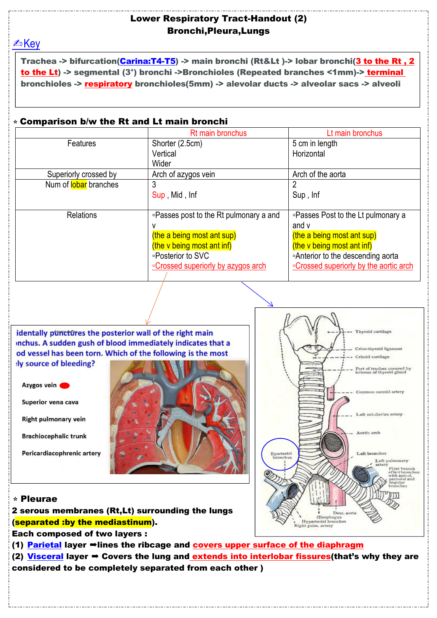## Lower Respiratory Tract-Handout (2) Bronchi,Pleura,Lungs

**EDKey** 

Trachea -> bifurcation(Carina:T4-T5) -> main bronchi (Rt&Lt)-> lobar bronchi(3 to the Rt, 2 to the Lt) -> segmental (3°) bronchi ->Bronchioles (Repeated branches <1mm)-> terminal bronchioles -> respiratory bronchioles(5mm) -> alevolar ducts -> alveolar sacs -> alveoli

## $\star$  Comparison b/w the Rt and Lt main bronchi

|                       | Rt main bronchus                       | Lt main bronchus                        |
|-----------------------|----------------------------------------|-----------------------------------------|
| Features              | Shorter (2.5cm)                        | 5 cm in length                          |
|                       | Vertical                               | Horizontal                              |
|                       | Wider                                  |                                         |
| Superiorly crossed by | Arch of azygos vein                    | Arch of the aorta                       |
| Num of lobar branches |                                        |                                         |
|                       | Sup, Mid, Inf                          | Sup, Inf                                |
|                       |                                        |                                         |
| <b>Relations</b>      | □Passes post to the Rt pulmonary a and | □Passes Post to the Lt pulmonary a      |
|                       |                                        | and v                                   |
|                       | (the a being most ant sup)             | (the a being most ant sup)              |
|                       | (the v being most ant inf)             | (the v being most ant inf)              |
|                       | □Posterior to SVC                      | □Anterior to the descending aorta       |
|                       | □ Crossed superiorly by azygos arch    | □ Crossed superiorly by the aortic arch |
|                       |                                        |                                         |

identally punctures the posterior wall of the right main inchus. A sudden gush of blood immediately indicates that a od vessel has been torn. Which of the following is the most ly source of bleeding?



Superior vena cava

**Right pulmonary vein** 

**Brachiocephalic trunk** 

Pericardiacophrenic artery





## ⭐Pleurae

2 serous membranes (Rt,Lt) surrounding the lungs (separated :by the mediastinum).

Each composed of two layers :

(1) Parietal layer  $\rightarrow$  lines the ribcage and covers upper surface of the diaphragm

(2) Visceral layer  $\Rightarrow$  Covers the lung and extends into interlobar fissures (that's why they are considered to be completely separated from each other )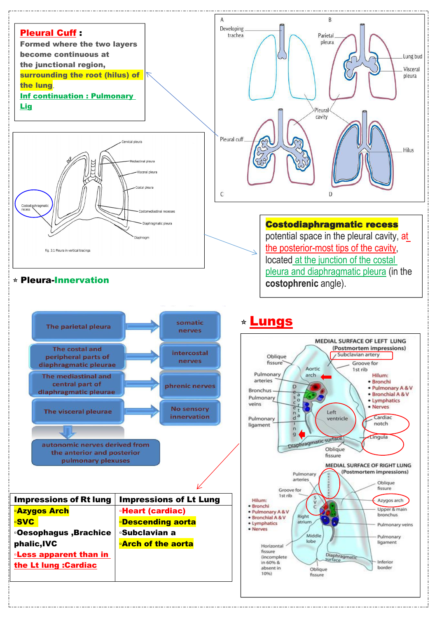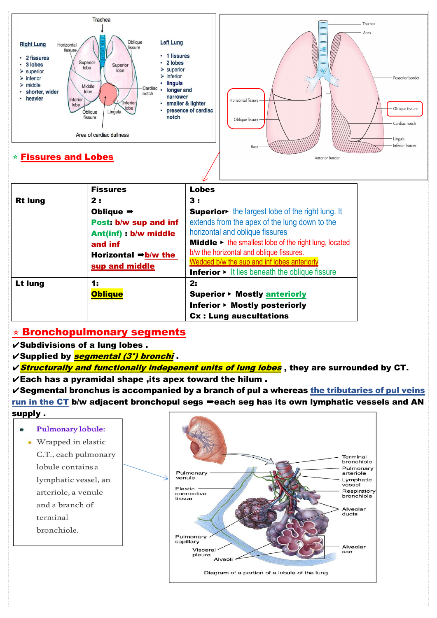

|                | <b>Fissures</b>                                                                 | <b>Lobes</b>                                                                |
|----------------|---------------------------------------------------------------------------------|-----------------------------------------------------------------------------|
| <b>Rt lung</b> | 2:                                                                              | 3:                                                                          |
|                | Oblique $\Rightarrow$                                                           | Superior the largest lobe of the right lung. It                             |
|                | Post: b/w sup and inf                                                           | extends from the apex of the lung down to the                               |
|                | Ant(inf) : b/w middle                                                           | horizontal and oblique fissures                                             |
|                | and inf                                                                         | <b>Middle</b> $\triangleright$ the smallest lobe of the right lung, located |
|                | Horizontal $\rightarrow$ b/w the                                                | b/w the horizontal and oblique fissures.                                    |
|                | sup and middle                                                                  | Wedged b/w the sup and inf lobes anteriorly                                 |
|                | <b>Inferior <math>\triangleright</math></b> It lies beneath the oblique fissure |                                                                             |
| Lt lung        | 1:                                                                              | 2:                                                                          |
|                | <b>Oblique</b>                                                                  | Superior ▶ Mostly anteriorly                                                |
|                |                                                                                 | <b>Inferior ► Mostly posteriorly</b>                                        |
|                |                                                                                 | <b>Cx: Lung auscultations</b>                                               |

## $\star$  Bronchopulmonary segments

 $\checkmark$  Subdivisions of a lung lobes.

- **√Supplied by** *segmental (3°) bronchi*.
- $\sqrt{s}$  *Structurally and functionally indepenent units of lung lobes*, they are surrounded by CT.  $V$ Each has a pyramidal shape , its apex toward the hilum.

 $\checkmark$ Segmental bronchus is accompanied by a branch of pul a whereas the tributaries of pul veins run in the CT b/w adjacent bronchopul segs ⇒each seg has its own lymphatic vessels and AN supply .